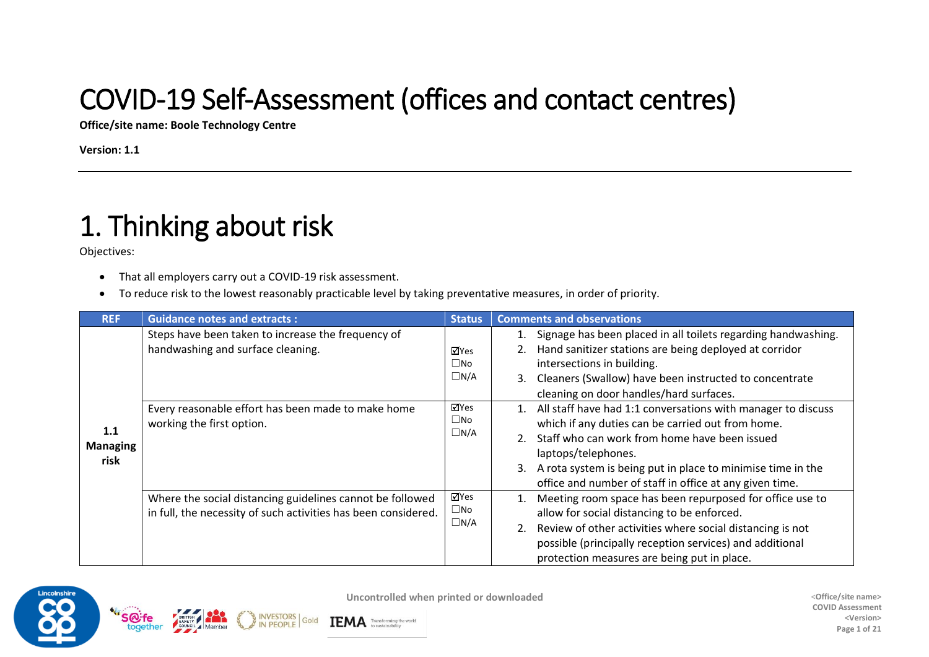#### COVID-19 Self-Assessment (offices and contact centres)

**Office/site name: Boole Technology Centre**

**Version: 1.1**

# 1. Thinking about risk

Objectives:

- That all employers carry out a COVID-19 risk assessment.
- To reduce risk to the lowest reasonably practicable level by taking preventative measures, in order of priority.

**IEMA** Transforming the world

Gold

|                                | Steps have been taken to increase the frequency of<br>handwashing and surface cleaning.                                     | ⊠Yes                                                             | Signage has been placed in all toilets regarding handwashing.<br>Hand sanitizer stations are being deployed at corridor                                                                                                                                                                                                                                                                                               |
|--------------------------------|-----------------------------------------------------------------------------------------------------------------------------|------------------------------------------------------------------|-----------------------------------------------------------------------------------------------------------------------------------------------------------------------------------------------------------------------------------------------------------------------------------------------------------------------------------------------------------------------------------------------------------------------|
| 1.1<br><b>Managing</b><br>risk | Every reasonable effort has been made to make home<br>working the first option.                                             | $\square$ No<br>$\Box N/A$<br>⊠Yes<br>$\square$ No<br>$\Box N/A$ | intersections in building.<br>3. Cleaners (Swallow) have been instructed to concentrate<br>cleaning on door handles/hard surfaces.<br>1. All staff have had 1:1 conversations with manager to discuss<br>which if any duties can be carried out from home.<br>2. Staff who can work from home have been issued<br>laptops/telephones.                                                                                 |
|                                | Where the social distancing guidelines cannot be followed<br>in full, the necessity of such activities has been considered. | ⊠Yes<br>$\square$ No<br>$\Box N/A$                               | A rota system is being put in place to minimise time in the<br>3.<br>office and number of staff in office at any given time.<br>Meeting room space has been repurposed for office use to<br>1.<br>allow for social distancing to be enforced.<br>Review of other activities where social distancing is not<br>possible (principally reception services) and additional<br>protection measures are being put in place. |

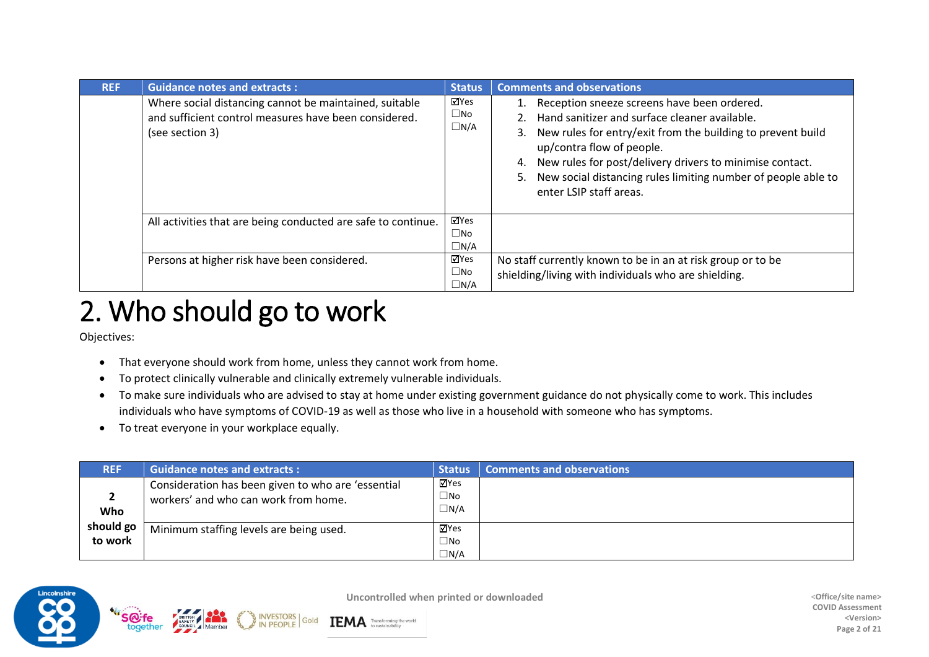| <b>REF</b> | <b>Guidance notes and extracts:</b>                                                                                                | <b>Status</b>                      | <b>Comments and observations</b>                                                                                                                                                                                                                                                                                                                                      |
|------------|------------------------------------------------------------------------------------------------------------------------------------|------------------------------------|-----------------------------------------------------------------------------------------------------------------------------------------------------------------------------------------------------------------------------------------------------------------------------------------------------------------------------------------------------------------------|
|            | Where social distancing cannot be maintained, suitable<br>and sufficient control measures have been considered.<br>(see section 3) | ⊠Yes<br>$\square$ No<br>$\Box N/A$ | Reception sneeze screens have been ordered.<br>Hand sanitizer and surface cleaner available.<br>2.<br>3. New rules for entry/exit from the building to prevent build<br>up/contra flow of people.<br>New rules for post/delivery drivers to minimise contact.<br>4.<br>New social distancing rules limiting number of people able to<br>5.<br>enter LSIP staff areas. |
|            | All activities that are being conducted are safe to continue.                                                                      | ⊠Yes<br>$\square$ No<br>$\Box N/A$ |                                                                                                                                                                                                                                                                                                                                                                       |
|            | Persons at higher risk have been considered.                                                                                       | ⊠Yes<br>$\square$ No<br>$\Box N/A$ | No staff currently known to be in an at risk group or to be<br>shielding/living with individuals who are shielding.                                                                                                                                                                                                                                                   |

#### 2. Who should go to work

Objectives:

- That everyone should work from home, unless they cannot work from home.
- To protect clinically vulnerable and clinically extremely vulnerable individuals.

Gold

- To make sure individuals who are advised to stay at home under existing government guidance do not physically come to work. This includes individuals who have symptoms of COVID-19 as well as those who live in a household with someone who has symptoms.
- To treat everyone in your workplace equally.

| <b>REF</b>           | <b>Guidance notes and extracts:</b>                                                        | <b>Status</b>                   | <b>Comments and observations</b> |
|----------------------|--------------------------------------------------------------------------------------------|---------------------------------|----------------------------------|
| <b>Who</b>           | Consideration has been given to who are 'essential<br>workers' and who can work from home. | ⊠Yes<br>$\Box$ No<br>$\Box$ N/A |                                  |
| should go<br>to work | Minimum staffing levels are being used.                                                    | ⊠Yes<br>⊡No<br>$\Box$ N/A       |                                  |

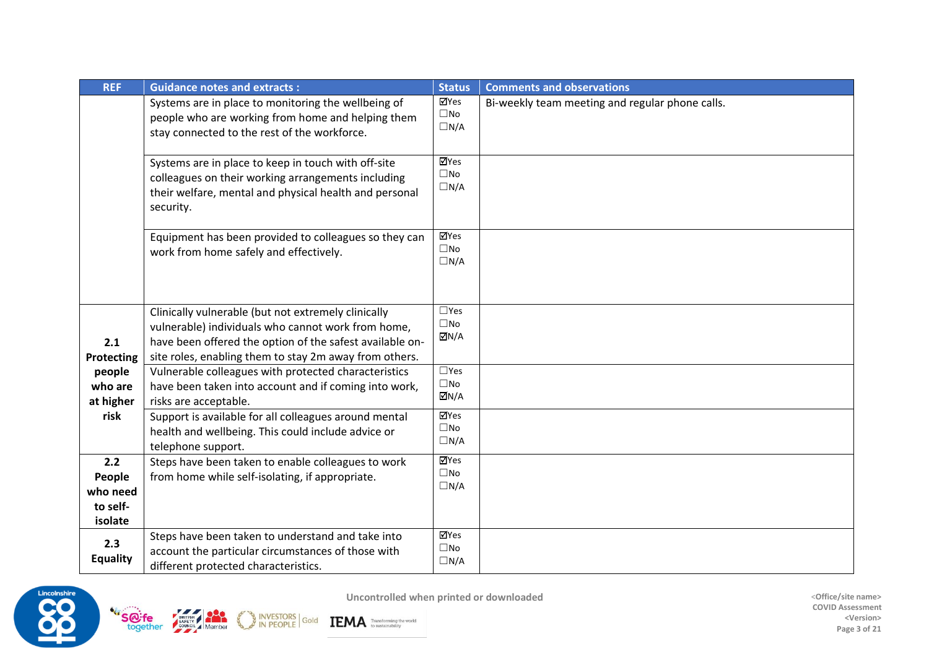| <b>REF</b>                                       | <b>Guidance notes and extracts:</b>                                                                                                                                                                                             | <b>Status</b>                                                | <b>Comments and observations</b>                |
|--------------------------------------------------|---------------------------------------------------------------------------------------------------------------------------------------------------------------------------------------------------------------------------------|--------------------------------------------------------------|-------------------------------------------------|
|                                                  | Systems are in place to monitoring the wellbeing of<br>people who are working from home and helping them<br>stay connected to the rest of the workforce.                                                                        | ⊠Yes<br>$\square$ No<br>$\Box N/A$                           | Bi-weekly team meeting and regular phone calls. |
|                                                  | Systems are in place to keep in touch with off-site<br>colleagues on their working arrangements including<br>their welfare, mental and physical health and personal<br>security.                                                | <b>⊠Yes</b><br>$\square$ No<br>$\Box N/A$                    |                                                 |
|                                                  | Equipment has been provided to colleagues so they can<br>work from home safely and effectively.                                                                                                                                 | ⊠Yes<br>$\square$ No<br>$\Box N/A$                           |                                                 |
| 2.1<br>Protecting                                | Clinically vulnerable (but not extremely clinically<br>vulnerable) individuals who cannot work from home,<br>have been offered the option of the safest available on-<br>site roles, enabling them to stay 2m away from others. | $\square$ Yes<br>$\square$ No<br>$\overline{\mathsf{M}}$ N/A |                                                 |
| people<br>who are<br>at higher                   | Vulnerable colleagues with protected characteristics<br>have been taken into account and if coming into work,<br>risks are acceptable.                                                                                          | $\square$ Yes<br>$\square$ No<br>ØN/A                        |                                                 |
| risk                                             | Support is available for all colleagues around mental<br>health and wellbeing. This could include advice or<br>telephone support.                                                                                               | ⊠Yes<br>$\square$ No<br>$\Box N/A$                           |                                                 |
| 2.2<br>People<br>who need<br>to self-<br>isolate | Steps have been taken to enable colleagues to work<br>from home while self-isolating, if appropriate.                                                                                                                           | $\overline{\mathbf{Y}}$ Yes<br>$\square$ No<br>$\Box N/A$    |                                                 |
| 2.3<br><b>Equality</b>                           | Steps have been taken to understand and take into<br>account the particular circumstances of those with<br>different protected characteristics.                                                                                 | ⊠Yes<br>$\square$ No<br>$\Box N/A$                           |                                                 |



BRITISH Member

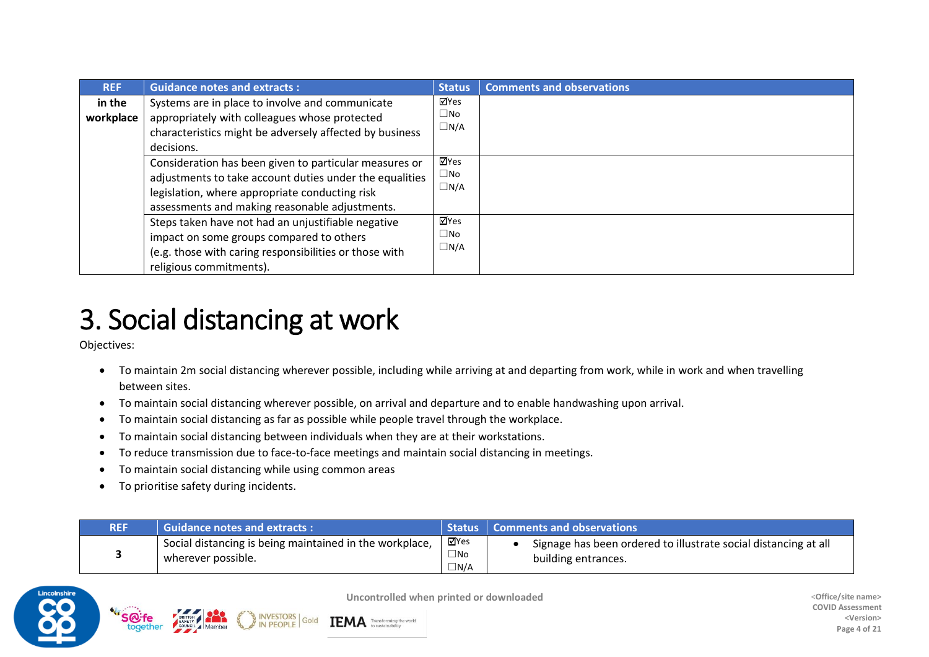| <b>REF</b>          | <b>Guidance notes and extracts:</b>                                                                                                                                                                                   | <b>Status</b>                      | <b>Comments and observations</b> |
|---------------------|-----------------------------------------------------------------------------------------------------------------------------------------------------------------------------------------------------------------------|------------------------------------|----------------------------------|
| in the<br>workplace | Systems are in place to involve and communicate<br>appropriately with colleagues whose protected<br>characteristics might be adversely affected by business<br>decisions.                                             | ⊠Yes<br>□No<br>$\Box N/A$          |                                  |
|                     | Consideration has been given to particular measures or<br>adjustments to take account duties under the equalities<br>legislation, where appropriate conducting risk<br>assessments and making reasonable adjustments. | ⊠Yes<br>$\square$ No<br>$\Box$ N/A |                                  |
|                     | Steps taken have not had an unjustifiable negative<br>impact on some groups compared to others<br>(e.g. those with caring responsibilities or those with<br>religious commitments).                                   | ⊠Yes<br>$\square$ No<br>$\Box N/A$ |                                  |

#### 3. Social distancing at work

Objectives:

- To maintain 2m social distancing wherever possible, including while arriving at and departing from work, while in work and when travelling between sites.
- To maintain social distancing wherever possible, on arrival and departure and to enable handwashing upon arrival.
- To maintain social distancing as far as possible while people travel through the workplace.
- To maintain social distancing between individuals when they are at their workstations.

Gold

• To reduce transmission due to face-to-face meetings and maintain social distancing in meetings.

- To maintain social distancing while using common areas
- To prioritise safety during incidents.

| <b>REF</b> | Guidance notes and extracts:                                                  |                                    | <b>Status   Comments and observations</b>                                              |
|------------|-------------------------------------------------------------------------------|------------------------------------|----------------------------------------------------------------------------------------|
|            | Social distancing is being maintained in the workplace,<br>wherever possible. | ⊠Yes<br>$\square$ No<br>$\Box N/A$ | Signage has been ordered to illustrate social distancing at all<br>building entrances. |

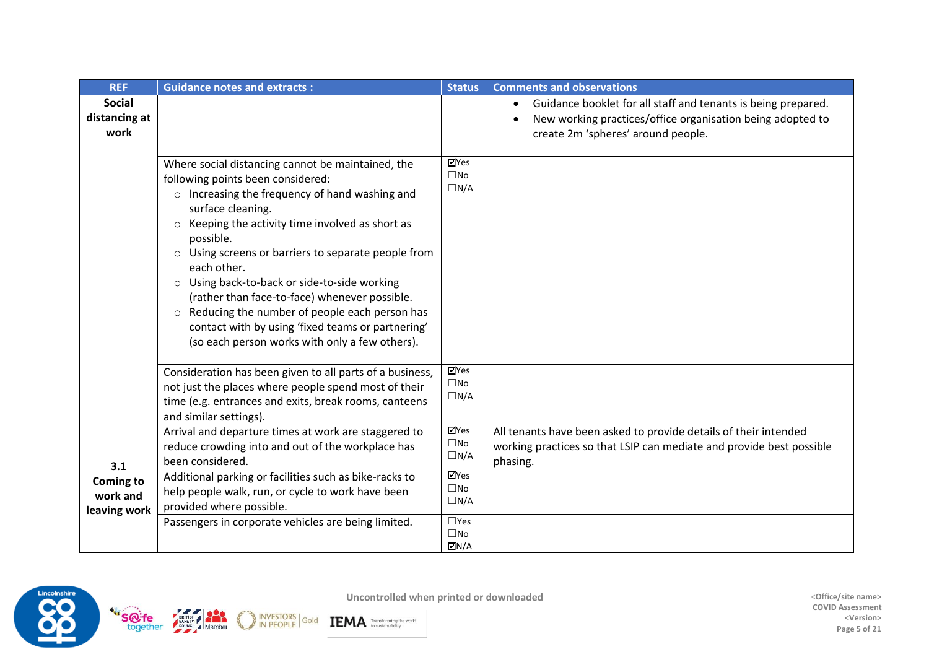| <b>REF</b>                                          | <b>Guidance notes and extracts:</b>                                                                                                                                                                                                                                                                                                                                                                                                                                                                                                                                                   | <b>Status</b>                                                                                                    | <b>Comments and observations</b>                                                                                                                                  |
|-----------------------------------------------------|---------------------------------------------------------------------------------------------------------------------------------------------------------------------------------------------------------------------------------------------------------------------------------------------------------------------------------------------------------------------------------------------------------------------------------------------------------------------------------------------------------------------------------------------------------------------------------------|------------------------------------------------------------------------------------------------------------------|-------------------------------------------------------------------------------------------------------------------------------------------------------------------|
| <b>Social</b><br>distancing at<br>work              |                                                                                                                                                                                                                                                                                                                                                                                                                                                                                                                                                                                       |                                                                                                                  | Guidance booklet for all staff and tenants is being prepared.<br>New working practices/office organisation being adopted to<br>create 2m 'spheres' around people. |
|                                                     | Where social distancing cannot be maintained, the<br>following points been considered:<br>$\circ$ Increasing the frequency of hand washing and<br>surface cleaning.<br>Keeping the activity time involved as short as<br>$\circ$<br>possible.<br>Using screens or barriers to separate people from<br>$\circ$<br>each other.<br>○ Using back-to-back or side-to-side working<br>(rather than face-to-face) whenever possible.<br>Reducing the number of people each person has<br>contact with by using 'fixed teams or partnering'<br>(so each person works with only a few others). | ⊠Yes<br>$\square$ No<br>$\Box N/A$                                                                               |                                                                                                                                                                   |
|                                                     | Consideration has been given to all parts of a business,<br>not just the places where people spend most of their<br>time (e.g. entrances and exits, break rooms, canteens<br>and similar settings).                                                                                                                                                                                                                                                                                                                                                                                   | $\overline{\mathbf{M}}$ Yes<br>$\square$ No<br>$\Box N/A$                                                        |                                                                                                                                                                   |
| 3.1<br><b>Coming to</b><br>work and<br>leaving work | Arrival and departure times at work are staggered to<br>reduce crowding into and out of the workplace has<br>been considered.<br>Additional parking or facilities such as bike-racks to<br>help people walk, run, or cycle to work have been<br>provided where possible.<br>Passengers in corporate vehicles are being limited.                                                                                                                                                                                                                                                       | ⊠Yes<br>$\square$ No<br>$\Box N/A$<br>$\overline{\mathsf{Y}}$ Yes<br>$\square$ No<br>$\Box N/A$<br>$\square$ Yes | All tenants have been asked to provide details of their intended<br>working practices so that LSIP can mediate and provide best possible<br>phasing.              |
|                                                     |                                                                                                                                                                                                                                                                                                                                                                                                                                                                                                                                                                                       | $\square$ No<br>$\overline{\triangle}$ N/A                                                                       |                                                                                                                                                                   |

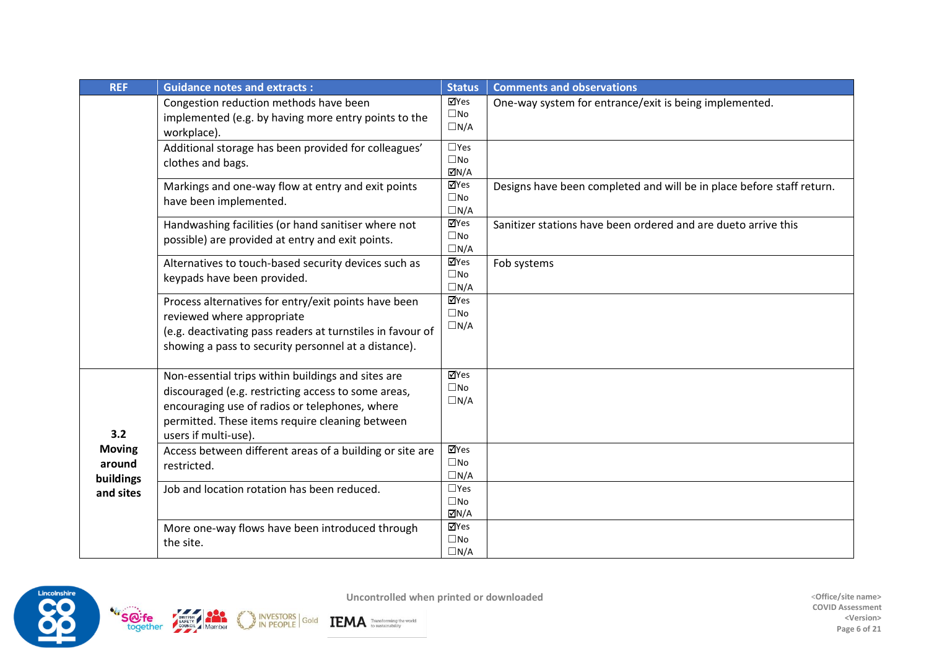| <b>REF</b>                           | <b>Guidance notes and extracts:</b>                                                                                                                                                                                                    | <b>Status</b>                                               | <b>Comments and observations</b>                                      |
|--------------------------------------|----------------------------------------------------------------------------------------------------------------------------------------------------------------------------------------------------------------------------------------|-------------------------------------------------------------|-----------------------------------------------------------------------|
|                                      | Congestion reduction methods have been<br>implemented (e.g. by having more entry points to the<br>workplace).                                                                                                                          | ⊠Yes<br>$\square$ No<br>$\Box N/A$                          | One-way system for entrance/exit is being implemented.                |
|                                      | Additional storage has been provided for colleagues'<br>clothes and bags.                                                                                                                                                              | $\square$ Yes<br>$\square$ No<br>$\overline{\triangle}$ N/A |                                                                       |
|                                      | Markings and one-way flow at entry and exit points<br>have been implemented.                                                                                                                                                           | ⊠Yes<br>$\square$ No<br>$\Box N/A$                          | Designs have been completed and will be in place before staff return. |
|                                      | Handwashing facilities (or hand sanitiser where not<br>possible) are provided at entry and exit points.                                                                                                                                | ⊠Yes<br>$\square$ No<br>$\Box N/A$                          | Sanitizer stations have been ordered and are dueto arrive this        |
|                                      | Alternatives to touch-based security devices such as<br>keypads have been provided.                                                                                                                                                    | <b>ZYes</b><br>$\square$ No<br>$\Box N/A$                   | Fob systems                                                           |
|                                      | Process alternatives for entry/exit points have been<br>reviewed where appropriate<br>(e.g. deactivating pass readers at turnstiles in favour of<br>showing a pass to security personnel at a distance).                               | $\overline{\mathsf{M}}$ Yes<br>$\square$ No<br>$\Box N/A$   |                                                                       |
| 3.2                                  | Non-essential trips within buildings and sites are<br>discouraged (e.g. restricting access to some areas,<br>encouraging use of radios or telephones, where<br>permitted. These items require cleaning between<br>users if multi-use). | ⊠Yes<br>$\square$ No<br>$\Box N/A$                          |                                                                       |
| <b>Moving</b><br>around<br>buildings | Access between different areas of a building or site are<br>restricted.                                                                                                                                                                | ⊠Yes<br>$\square$ No<br>$\Box N/A$                          |                                                                       |
| and sites                            | Job and location rotation has been reduced.                                                                                                                                                                                            | $\square$ Yes<br>$\square$ No<br>$\overline{\triangle}$ N/A |                                                                       |
|                                      | More one-way flows have been introduced through<br>the site.                                                                                                                                                                           | ⊠Yes<br>$\square$ No<br>$\Box N/A$                          |                                                                       |

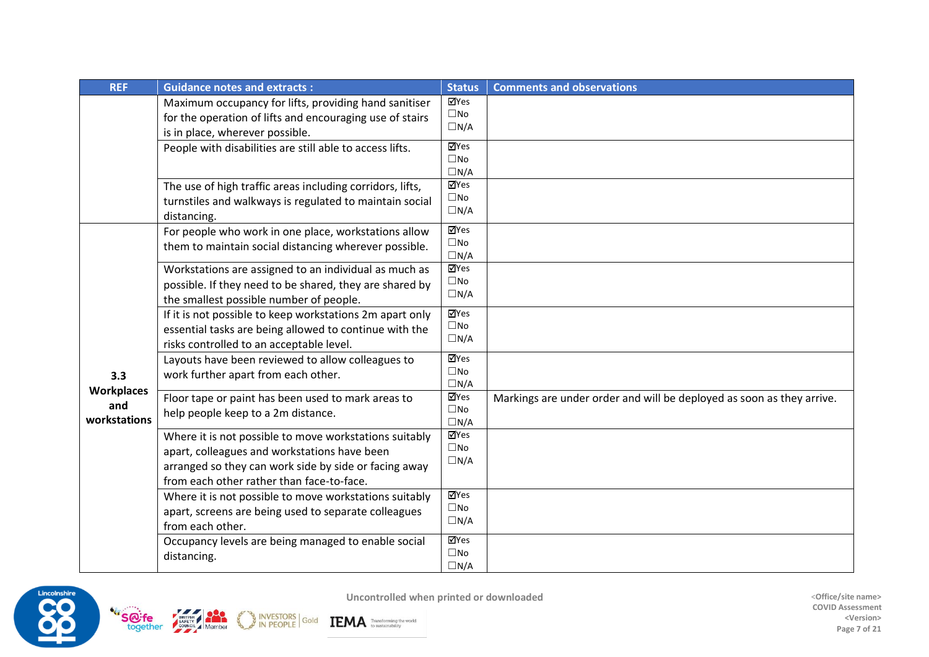| <b>REF</b>        | <b>Guidance notes and extracts:</b>                                                                | <b>Status</b>               | <b>Comments and observations</b>                                      |
|-------------------|----------------------------------------------------------------------------------------------------|-----------------------------|-----------------------------------------------------------------------|
|                   | Maximum occupancy for lifts, providing hand sanitiser                                              | √Yes<br>$\square$ No        |                                                                       |
|                   | for the operation of lifts and encouraging use of stairs                                           | $\Box N/A$                  |                                                                       |
|                   | is in place, wherever possible.                                                                    | ⊠Yes                        |                                                                       |
|                   | People with disabilities are still able to access lifts.                                           | $\square$ No                |                                                                       |
|                   |                                                                                                    | $\Box N/A$                  |                                                                       |
|                   | The use of high traffic areas including corridors, lifts,                                          | $\overline{\mathbf{M}}$ Yes |                                                                       |
|                   | turnstiles and walkways is regulated to maintain social                                            | $\square$ No                |                                                                       |
|                   | distancing.                                                                                        | $\Box N/A$                  |                                                                       |
|                   | For people who work in one place, workstations allow                                               | $\overline{\mathbf{M}}$ Yes |                                                                       |
|                   | them to maintain social distancing wherever possible.                                              | $\square$ No<br>$\Box N/A$  |                                                                       |
|                   | Workstations are assigned to an individual as much as                                              | $\overline{\mathbf{M}}$ Yes |                                                                       |
|                   | possible. If they need to be shared, they are shared by                                            | $\square$ No                |                                                                       |
|                   | the smallest possible number of people.                                                            | $\Box N/A$                  |                                                                       |
|                   | If it is not possible to keep workstations 2m apart only                                           | $\overline{\mathbf{Y}}$ Yes |                                                                       |
|                   | essential tasks are being allowed to continue with the                                             | $\square$ No                |                                                                       |
|                   | risks controlled to an acceptable level.                                                           | $\Box N/A$                  |                                                                       |
|                   | Layouts have been reviewed to allow colleagues to                                                  | ⊠Yes                        |                                                                       |
| 3.3               | work further apart from each other.                                                                | $\square$ No<br>$\Box N/A$  |                                                                       |
| <b>Workplaces</b> | Floor tape or paint has been used to mark areas to                                                 | ⊠Yes                        | Markings are under order and will be deployed as soon as they arrive. |
| and               | help people keep to a 2m distance.                                                                 | $\square$ No                |                                                                       |
| workstations      |                                                                                                    | $\Box N/A$                  |                                                                       |
|                   | Where it is not possible to move workstations suitably                                             | <b>⊠Yes</b><br>$\square$ No |                                                                       |
|                   | apart, colleagues and workstations have been                                                       | $\Box N/A$                  |                                                                       |
|                   | arranged so they can work side by side or facing away<br>from each other rather than face-to-face. |                             |                                                                       |
|                   | Where it is not possible to move workstations suitably                                             | $\overline{\mathbf{M}}$ Yes |                                                                       |
|                   | apart, screens are being used to separate colleagues                                               | $\square$ No                |                                                                       |
|                   | from each other.                                                                                   | $\Box N/A$                  |                                                                       |
|                   | Occupancy levels are being managed to enable social                                                | $\overline{\mathbf{M}}$ Yes |                                                                       |
|                   | distancing.                                                                                        | $\square$ No                |                                                                       |
|                   |                                                                                                    | $\Box N/A$                  |                                                                       |



INVESTORS Gold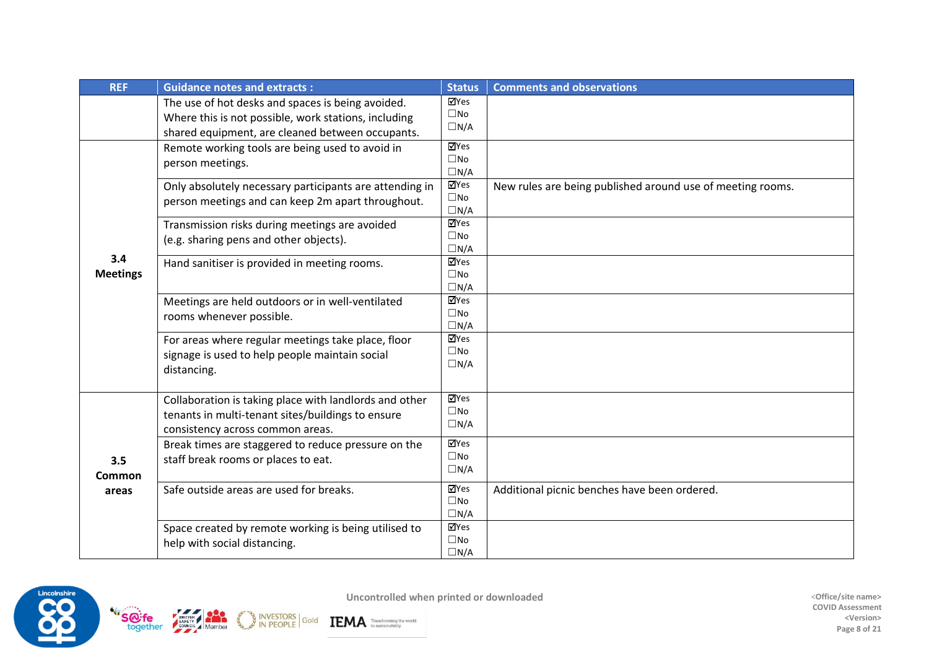| <b>REF</b>      | <b>Guidance notes and extracts:</b>                                          | <b>Status</b>               | <b>Comments and observations</b>                           |
|-----------------|------------------------------------------------------------------------------|-----------------------------|------------------------------------------------------------|
|                 | The use of hot desks and spaces is being avoided.                            | ⊠Yes<br>$\square$ No        |                                                            |
|                 | Where this is not possible, work stations, including                         | $\Box N/A$                  |                                                            |
|                 | shared equipment, are cleaned between occupants.                             | $\overline{\mathsf{M}}$ Yes |                                                            |
|                 | Remote working tools are being used to avoid in<br>person meetings.          | $\square$ No                |                                                            |
|                 |                                                                              | $\Box N/A$                  |                                                            |
|                 | Only absolutely necessary participants are attending in                      | <b>ZYes</b>                 | New rules are being published around use of meeting rooms. |
|                 | person meetings and can keep 2m apart throughout.                            | $\square$ No<br>$\Box N/A$  |                                                            |
|                 | Transmission risks during meetings are avoided                               | ⊠Yes                        |                                                            |
|                 | (e.g. sharing pens and other objects).                                       | $\square$ No                |                                                            |
| 3.4             |                                                                              | $\Box N/A$                  |                                                            |
| <b>Meetings</b> | Hand sanitiser is provided in meeting rooms.                                 | ⊠Yes<br>$\square$ No        |                                                            |
|                 |                                                                              | $\Box N/A$                  |                                                            |
|                 | Meetings are held outdoors or in well-ventilated<br>rooms whenever possible. | ⊠Yes                        |                                                            |
|                 |                                                                              | $\square$ No                |                                                            |
|                 |                                                                              | $\Box N/A$<br>⊠Yes          |                                                            |
|                 | For areas where regular meetings take place, floor                           | $\square$ No                |                                                            |
|                 | signage is used to help people maintain social<br>distancing.                | $\Box N/A$                  |                                                            |
|                 |                                                                              |                             |                                                            |
|                 | Collaboration is taking place with landlords and other                       | ⊠Yes                        |                                                            |
|                 | tenants in multi-tenant sites/buildings to ensure                            | $\square$ No                |                                                            |
|                 | consistency across common areas.                                             | $\Box N/A$                  |                                                            |
|                 | Break times are staggered to reduce pressure on the                          | $\overline{\mathsf{M}}$ Yes |                                                            |
| 3.5             | staff break rooms or places to eat.                                          | $\square$ No                |                                                            |
| Common          |                                                                              | $\Box N/A$                  |                                                            |
| areas           | Safe outside areas are used for breaks.                                      | ⊠Yes                        | Additional picnic benches have been ordered.               |
|                 |                                                                              | $\square$ No<br>$\Box N/A$  |                                                            |
|                 | Space created by remote working is being utilised to                         | ⊠Yes                        |                                                            |
|                 | help with social distancing.                                                 | $\square$ No                |                                                            |
|                 |                                                                              | $\Box N/A$                  |                                                            |

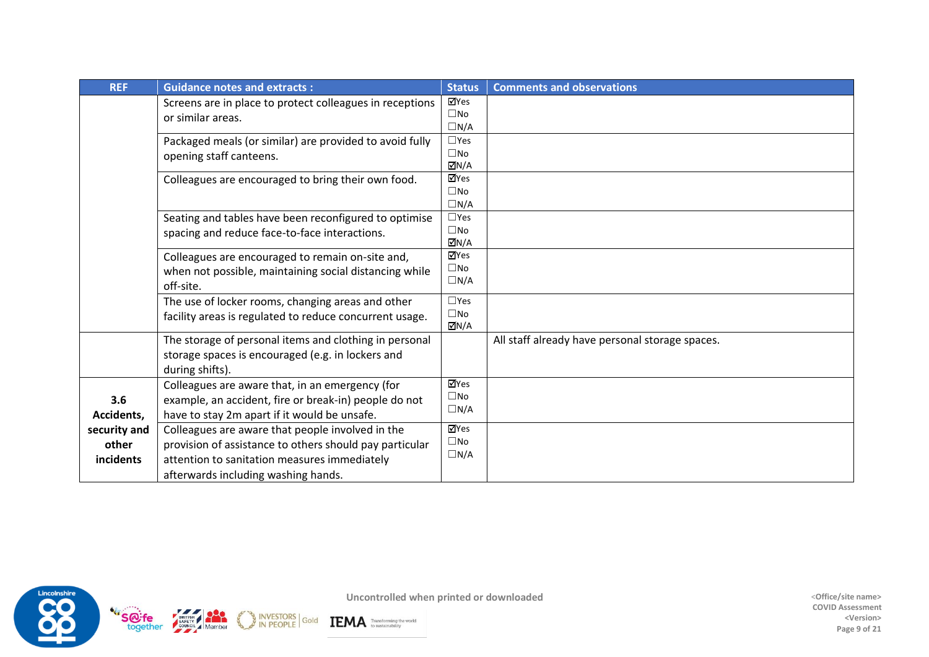| <b>REF</b>                         | <b>Guidance notes and extracts:</b>                                                                                                                                                                | <b>Status</b>                                               | <b>Comments and observations</b>                |
|------------------------------------|----------------------------------------------------------------------------------------------------------------------------------------------------------------------------------------------------|-------------------------------------------------------------|-------------------------------------------------|
|                                    | Screens are in place to protect colleagues in receptions<br>or similar areas.                                                                                                                      | ⊠Yes<br>$\square$ No<br>$\Box N/A$                          |                                                 |
|                                    | Packaged meals (or similar) are provided to avoid fully<br>opening staff canteens.                                                                                                                 | $\square$ Yes<br>$\square$ No<br>$\overline{\triangle}$ N/A |                                                 |
|                                    | Colleagues are encouraged to bring their own food.                                                                                                                                                 | ⊠Yes<br>$\square$ No<br>$\Box N/A$                          |                                                 |
|                                    | Seating and tables have been reconfigured to optimise<br>spacing and reduce face-to-face interactions.                                                                                             | $\square$ Yes<br>$\square$ No<br>MN/A⊡                      |                                                 |
|                                    | Colleagues are encouraged to remain on-site and,<br>when not possible, maintaining social distancing while<br>off-site.                                                                            | ⊠Yes<br>$\square$ No<br>$\Box N/A$                          |                                                 |
|                                    | The use of locker rooms, changing areas and other<br>facility areas is regulated to reduce concurrent usage.                                                                                       | $\square$ Yes<br>$\square$ No<br>ØN/A                       |                                                 |
|                                    | The storage of personal items and clothing in personal<br>storage spaces is encouraged (e.g. in lockers and<br>during shifts).                                                                     |                                                             | All staff already have personal storage spaces. |
| 3.6<br>Accidents,                  | Colleagues are aware that, in an emergency (for<br>example, an accident, fire or break-in) people do not<br>have to stay 2m apart if it would be unsafe.                                           | ⊠Yes<br>$\square$ No<br>$\Box N/A$                          |                                                 |
| security and<br>other<br>incidents | Colleagues are aware that people involved in the<br>provision of assistance to others should pay particular<br>attention to sanitation measures immediately<br>afterwards including washing hands. | ⊠Yes<br>$\square$ No<br>$\Box N/A$                          |                                                 |

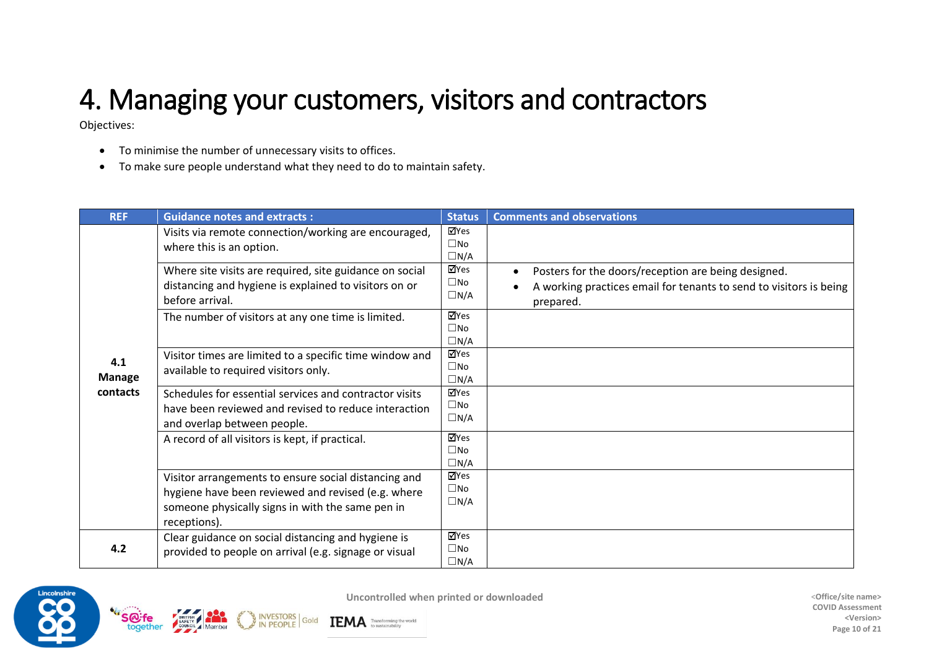# 4. Managing your customers, visitors and contractors

Objectives:

- To minimise the number of unnecessary visits to offices.
- To make sure people understand what they need to do to maintain safety.

**INVESTORS** 

Gold

| <b>REF</b>                       | <b>Guidance notes and extracts:</b>                                                                                                                                            | <b>Status</b>                      | <b>Comments and observations</b>                                                                                                       |
|----------------------------------|--------------------------------------------------------------------------------------------------------------------------------------------------------------------------------|------------------------------------|----------------------------------------------------------------------------------------------------------------------------------------|
|                                  | Visits via remote connection/working are encouraged,<br>where this is an option.                                                                                               | ⊠Yes<br>$\square$ No<br>$\Box N/A$ |                                                                                                                                        |
|                                  | Where site visits are required, site guidance on social<br>distancing and hygiene is explained to visitors on or<br>before arrival.                                            | ⊠Yes<br>$\square$ No<br>$\Box N/A$ | Posters for the doors/reception are being designed.<br>A working practices email for tenants to send to visitors is being<br>prepared. |
|                                  | The number of visitors at any one time is limited.                                                                                                                             | ⊠Yes<br>$\square$ No<br>$\Box N/A$ |                                                                                                                                        |
| 4.1<br><b>Manage</b><br>contacts | Visitor times are limited to a specific time window and<br>available to required visitors only.                                                                                | ⊠Yes<br>$\square$ No<br>$\Box N/A$ |                                                                                                                                        |
|                                  | Schedules for essential services and contractor visits<br>have been reviewed and revised to reduce interaction<br>and overlap between people.                                  | ⊠Yes<br>$\square$ No<br>$\Box N/A$ |                                                                                                                                        |
|                                  | A record of all visitors is kept, if practical.                                                                                                                                | ⊠Yes<br>$\square$ No<br>$\Box N/A$ |                                                                                                                                        |
|                                  | Visitor arrangements to ensure social distancing and<br>hygiene have been reviewed and revised (e.g. where<br>someone physically signs in with the same pen in<br>receptions). | √Yes<br>$\square$ No<br>$\Box N/A$ |                                                                                                                                        |
| 4.2                              | Clear guidance on social distancing and hygiene is<br>provided to people on arrival (e.g. signage or visual                                                                    | ⊠Yes<br>$\square$ No<br>$\Box N/A$ |                                                                                                                                        |



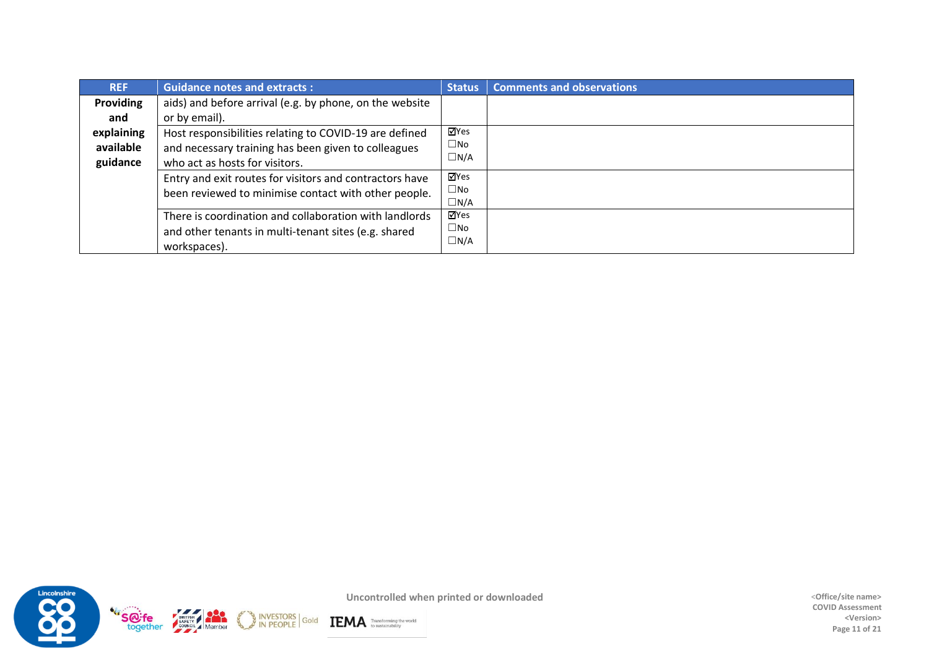| <b>REF</b>       | <b>Guidance notes and extracts:</b>                                                                                                                   | <b>Status</b> | <b>Comments and observations</b> |
|------------------|-------------------------------------------------------------------------------------------------------------------------------------------------------|---------------|----------------------------------|
| <b>Providing</b> | aids) and before arrival (e.g. by phone, on the website                                                                                               |               |                                  |
| and              | or by email).                                                                                                                                         |               |                                  |
| explaining       | Host responsibilities relating to COVID-19 are defined                                                                                                | ⊠Yes          |                                  |
| available        | and necessary training has been given to colleagues                                                                                                   | $\square$ No  |                                  |
| guidance         | who act as hosts for visitors.                                                                                                                        | $\Box N/A$    |                                  |
|                  | ⊠Yes<br>Entry and exit routes for visitors and contractors have<br>$\square$ No<br>been reviewed to minimise contact with other people.<br>$\Box N/A$ |               |                                  |
|                  |                                                                                                                                                       |               |                                  |
|                  |                                                                                                                                                       |               |                                  |
|                  | There is coordination and collaboration with landlords                                                                                                | ⊠Yes          |                                  |
|                  | and other tenants in multi-tenant sites (e.g. shared                                                                                                  | $\square$ No  |                                  |
|                  | workspaces).                                                                                                                                          | $\Box N/A$    |                                  |



**COVID Assessment <Version> Page 11 of 21**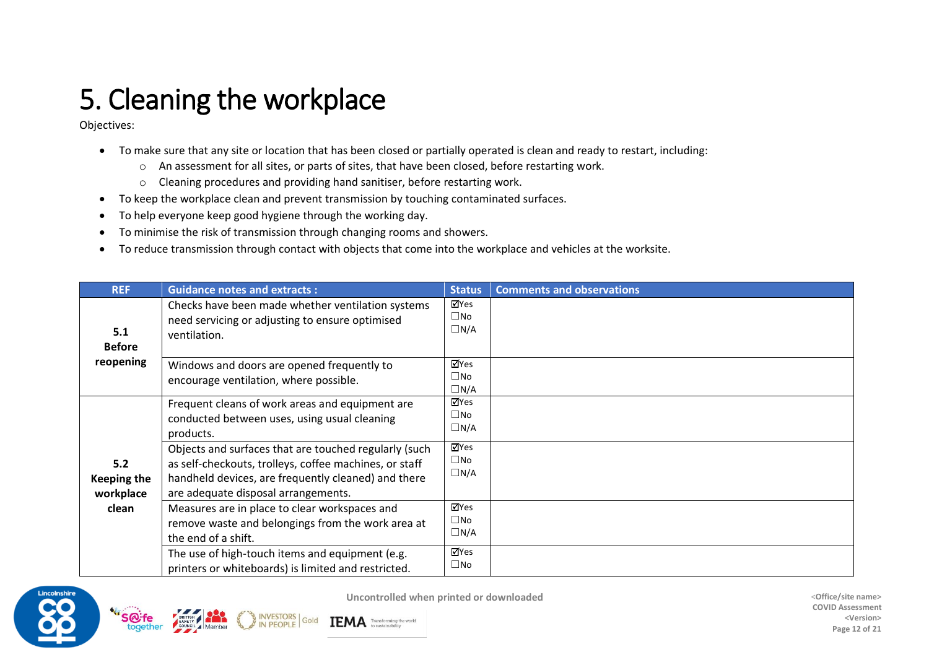# 5. Cleaning the workplace

Objectives:

- To make sure that any site or location that has been closed or partially operated is clean and ready to restart, including:
	- o An assessment for all sites, or parts of sites, that have been closed, before restarting work.
	- o Cleaning procedures and providing hand sanitiser, before restarting work.
- To keep the workplace clean and prevent transmission by touching contaminated surfaces.
- To help everyone keep good hygiene through the working day.
- To minimise the risk of transmission through changing rooms and showers.
- To reduce transmission through contact with objects that come into the workplace and vehicles at the worksite.

| <b>REF</b>                             | <b>Guidance notes and extracts:</b>                                                                                                                                                                           | <b>Status</b>                      | <b>Comments and observations</b> |
|----------------------------------------|---------------------------------------------------------------------------------------------------------------------------------------------------------------------------------------------------------------|------------------------------------|----------------------------------|
| 5.1<br><b>Before</b>                   | Checks have been made whether ventilation systems<br>need servicing or adjusting to ensure optimised<br>ventilation.                                                                                          | ⊠Yes<br>$\square$ No<br>$\Box$ N/A |                                  |
| reopening                              | Windows and doors are opened frequently to<br>encourage ventilation, where possible.                                                                                                                          | ⊠Yes<br>$\square$ No<br>$\Box N/A$ |                                  |
|                                        | Frequent cleans of work areas and equipment are<br>conducted between uses, using usual cleaning<br>products.                                                                                                  | ⊠Yes<br>$\square$ No<br>$\Box$ N/A |                                  |
| 5.2<br><b>Keeping the</b><br>workplace | Objects and surfaces that are touched regularly (such<br>as self-checkouts, trolleys, coffee machines, or staff<br>handheld devices, are frequently cleaned) and there<br>are adequate disposal arrangements. | √Yes<br>$\square$ No<br>$\Box N/A$ |                                  |
| clean                                  | Measures are in place to clear workspaces and<br>remove waste and belongings from the work area at<br>the end of a shift.                                                                                     | ⊠Yes<br>$\square$ No<br>$\Box$ N/A |                                  |
|                                        | The use of high-touch items and equipment (e.g.<br>printers or whiteboards) is limited and restricted.                                                                                                        | ⊠Yes<br>$\square$ No               |                                  |



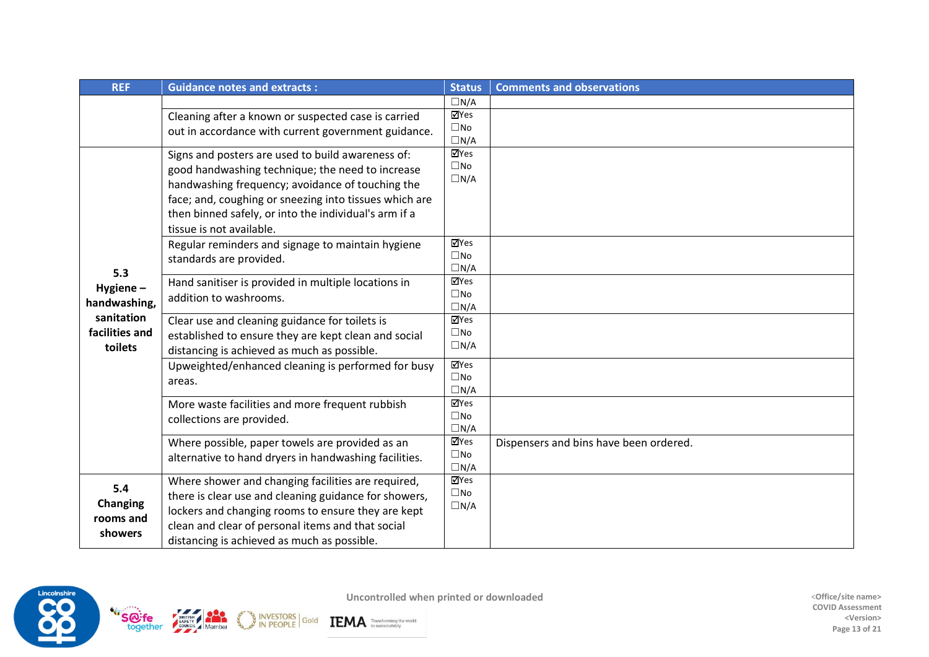| <b>REF</b>      | <b>Guidance notes and extracts:</b>                    | <b>Status</b>               | <b>Comments and observations</b>       |
|-----------------|--------------------------------------------------------|-----------------------------|----------------------------------------|
|                 |                                                        | $\Box N/A$                  |                                        |
|                 | Cleaning after a known or suspected case is carried    | √Yes                        |                                        |
|                 | out in accordance with current government guidance.    | $\square$ No                |                                        |
|                 |                                                        | $\Box N/A$                  |                                        |
|                 | Signs and posters are used to build awareness of:      | ⊠Yes<br>$\square$ No        |                                        |
|                 | good handwashing technique; the need to increase       | $\Box N/A$                  |                                        |
|                 | handwashing frequency; avoidance of touching the       |                             |                                        |
|                 | face; and, coughing or sneezing into tissues which are |                             |                                        |
|                 | then binned safely, or into the individual's arm if a  |                             |                                        |
|                 | tissue is not available.                               |                             |                                        |
|                 | Regular reminders and signage to maintain hygiene      | ⊠Yes                        |                                        |
|                 | standards are provided.                                | $\square$ No                |                                        |
| 5.3             |                                                        | $\Box N/A$<br>⊠Yes          |                                        |
| Hygiene-        | Hand sanitiser is provided in multiple locations in    | $\square$ No                |                                        |
| handwashing,    | addition to washrooms.                                 | $\Box N/A$                  |                                        |
| sanitation      | Clear use and cleaning guidance for toilets is         | ⊠Yes                        |                                        |
| facilities and  | established to ensure they are kept clean and social   | $\square$ No                |                                        |
| toilets         | distancing is achieved as much as possible.            | $\Box N/A$                  |                                        |
|                 | Upweighted/enhanced cleaning is performed for busy     | $\overline{\mathbb{Y}}$ Yes |                                        |
|                 | areas.                                                 | $\square$ No                |                                        |
|                 |                                                        | $\Box N/A$                  |                                        |
|                 | More waste facilities and more frequent rubbish        | ⊠Yes                        |                                        |
|                 | collections are provided.                              | $\square$ No<br>$\Box N/A$  |                                        |
|                 | Where possible, paper towels are provided as an        | ⊠Yes                        | Dispensers and bins have been ordered. |
|                 | alternative to hand dryers in handwashing facilities.  | $\square$ No                |                                        |
|                 |                                                        | $\Box N/A$                  |                                        |
| 5.4             | Where shower and changing facilities are required,     | $\overline{\mathbb{Y}}$ Yes |                                        |
|                 | there is clear use and cleaning guidance for showers,  | $\square$ No                |                                        |
| <b>Changing</b> | lockers and changing rooms to ensure they are kept     | $\Box N/A$                  |                                        |
| rooms and       | clean and clear of personal items and that social      |                             |                                        |
| showers         | distancing is achieved as much as possible.            |                             |                                        |



INVESTORS Gold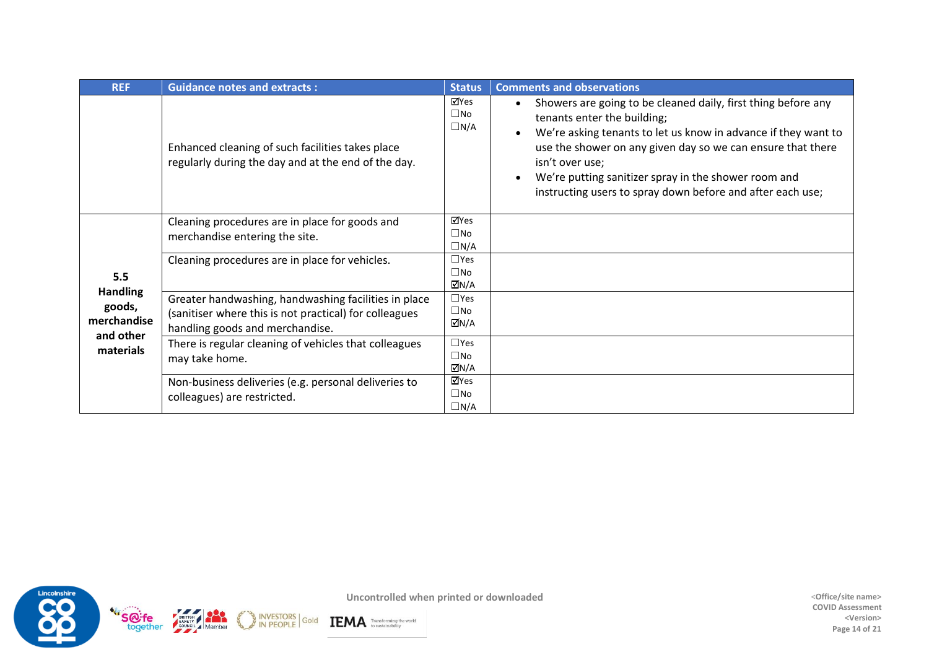| <b>REF</b>                                                                | <b>Guidance notes and extracts:</b>                                                                                                               | <b>Status</b>                         | <b>Comments and observations</b>                                                                                                                                                                                                                                                                                                                                                    |
|---------------------------------------------------------------------------|---------------------------------------------------------------------------------------------------------------------------------------------------|---------------------------------------|-------------------------------------------------------------------------------------------------------------------------------------------------------------------------------------------------------------------------------------------------------------------------------------------------------------------------------------------------------------------------------------|
|                                                                           | Enhanced cleaning of such facilities takes place<br>regularly during the day and at the end of the day.                                           | √ZYes<br>$\square$ No<br>$\Box N/A$   | Showers are going to be cleaned daily, first thing before any<br>$\bullet$<br>tenants enter the building;<br>We're asking tenants to let us know in advance if they want to<br>use the shower on any given day so we can ensure that there<br>isn't over use;<br>We're putting sanitizer spray in the shower room and<br>instructing users to spray down before and after each use; |
|                                                                           | Cleaning procedures are in place for goods and<br>merchandise entering the site.                                                                  | ⊠Yes<br>$\square$ No<br>$\Box N/A$    |                                                                                                                                                                                                                                                                                                                                                                                     |
| 5.5<br><b>Handling</b><br>goods,<br>merchandise<br>and other<br>materials | Cleaning procedures are in place for vehicles.                                                                                                    | $\Box$ Yes<br>$\square$ No<br>ØN/A    |                                                                                                                                                                                                                                                                                                                                                                                     |
|                                                                           | Greater handwashing, handwashing facilities in place<br>(sanitiser where this is not practical) for colleagues<br>handling goods and merchandise. | $\Box$ Yes<br>$\square$ No<br>ØN/A    |                                                                                                                                                                                                                                                                                                                                                                                     |
|                                                                           | There is regular cleaning of vehicles that colleagues<br>may take home.                                                                           | $\square$ Yes<br>$\square$ No<br>ØN/A |                                                                                                                                                                                                                                                                                                                                                                                     |
|                                                                           | Non-business deliveries (e.g. personal deliveries to<br>colleagues) are restricted.                                                               | ⊠Yes<br>$\square$ No<br>$\Box N/A$    |                                                                                                                                                                                                                                                                                                                                                                                     |



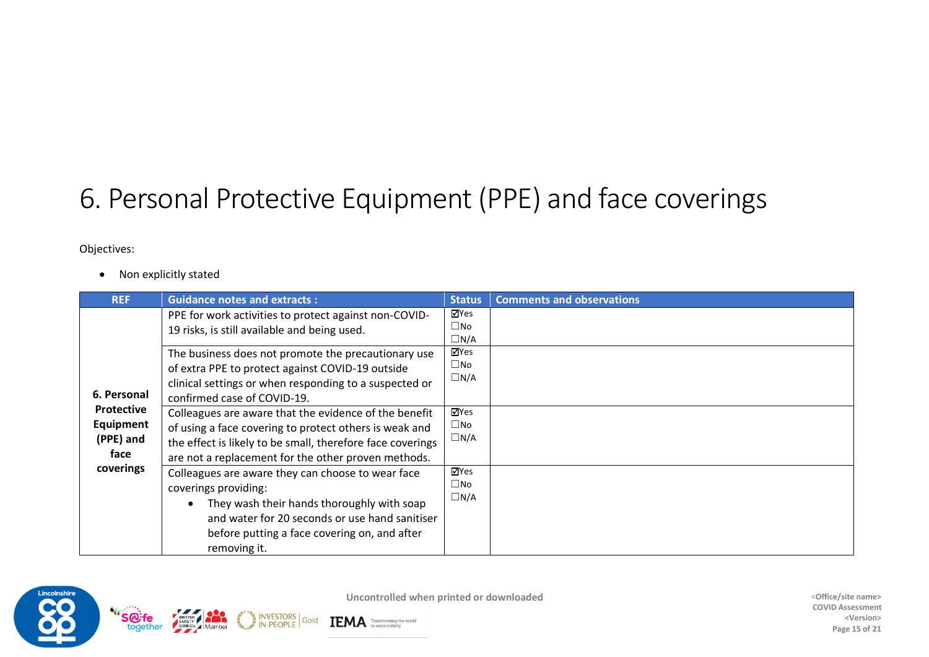## 6. Personal Protective Equipment (PPE) and face coverings

Objectives:

• Non explicitly stated

| <b>REF</b>                                          | <b>Guidance notes and extracts:</b>                                                                                                                                                                                                                                        | <b>Status</b>                                                            | <b>Comments and observations</b> |
|-----------------------------------------------------|----------------------------------------------------------------------------------------------------------------------------------------------------------------------------------------------------------------------------------------------------------------------------|--------------------------------------------------------------------------|----------------------------------|
| 6. Personal                                         | PPE for work activities to protect against non-COVID-<br>19 risks, is still available and being used.<br>The business does not promote the precautionary use<br>of extra PPE to protect against COVID-19 outside<br>clinical settings or when responding to a suspected or | ⊠Yes<br>$\square$ No<br>$\Box$ N/A<br>⊠Yes<br>$\square$ No<br>$\Box$ N/A |                                  |
| <b>Protective</b><br>Equipment<br>(PPE) and<br>face | confirmed case of COVID-19.<br>Colleagues are aware that the evidence of the benefit<br>of using a face covering to protect others is weak and<br>the effect is likely to be small, therefore face coverings<br>are not a replacement for the other proven methods.        | ⊠Yes<br>$\square$ No<br>$\Box$ N/A                                       |                                  |
| coverings                                           | Colleagues are aware they can choose to wear face<br>coverings providing:<br>They wash their hands thoroughly with soap<br>and water for 20 seconds or use hand sanitiser<br>before putting a face covering on, and after<br>removing it.                                  | ⊠Yes<br>$\square$ No<br>$\Box N/A$                                       |                                  |



Gold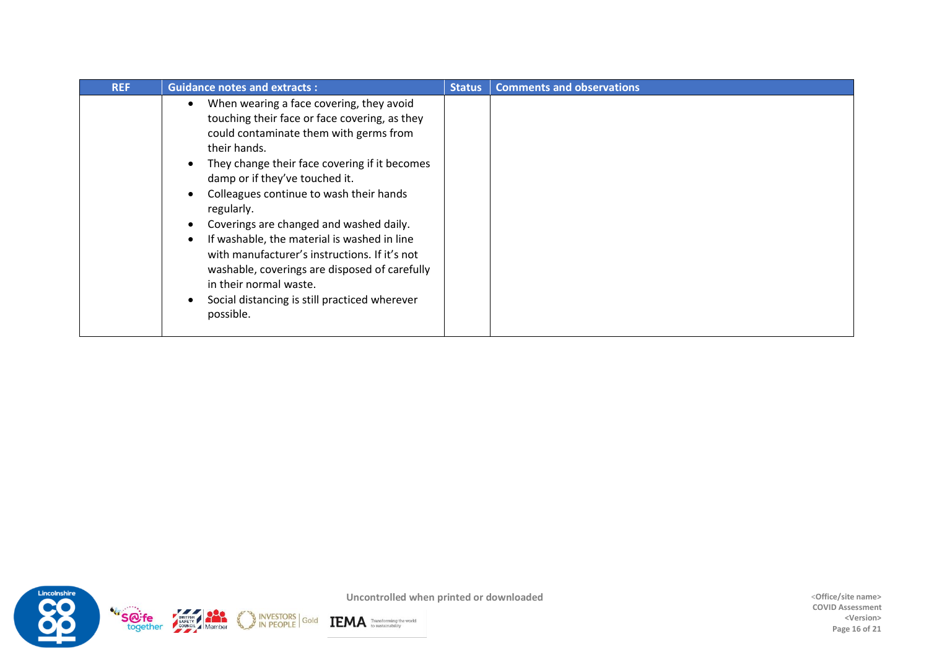| <b>REF</b> | <b>Guidance notes and extracts:</b>                                                                                                                                                                                                                                                                                                                                                                                                                                                                                                                                                 |  | <b>Comments and observations</b> |
|------------|-------------------------------------------------------------------------------------------------------------------------------------------------------------------------------------------------------------------------------------------------------------------------------------------------------------------------------------------------------------------------------------------------------------------------------------------------------------------------------------------------------------------------------------------------------------------------------------|--|----------------------------------|
|            | When wearing a face covering, they avoid<br>touching their face or face covering, as they<br>could contaminate them with germs from<br>their hands.<br>They change their face covering if it becomes<br>damp or if they've touched it.<br>Colleagues continue to wash their hands<br>regularly.<br>Coverings are changed and washed daily.<br>If washable, the material is washed in line<br>with manufacturer's instructions. If it's not<br>washable, coverings are disposed of carefully<br>in their normal waste.<br>Social distancing is still practiced wherever<br>possible. |  |                                  |



**COVID Assessment <Version> Page 16 of 21**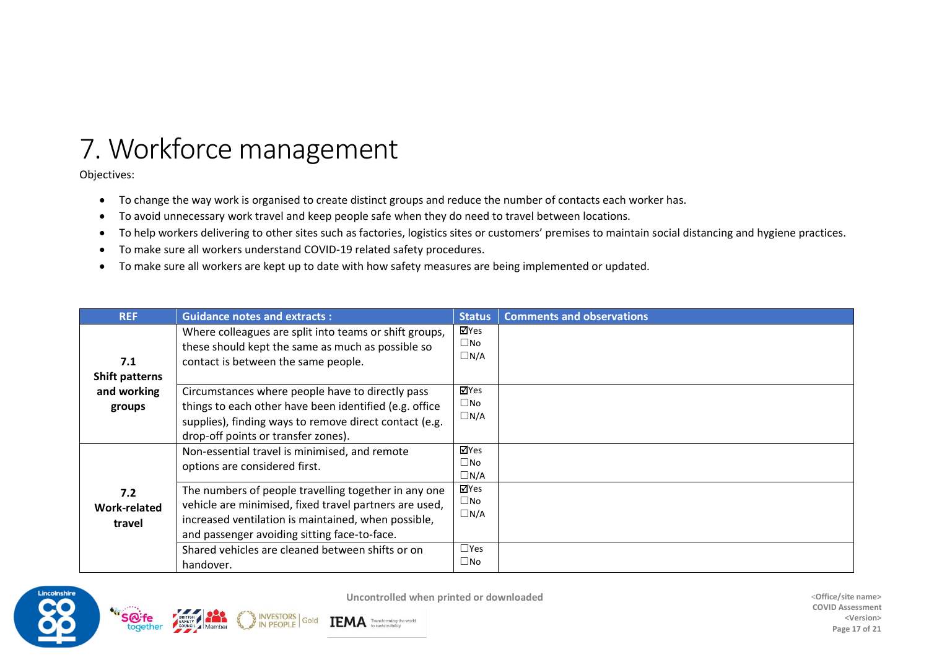## 7. Workforce management

Objectives:

- To change the way work is organised to create distinct groups and reduce the number of contacts each worker has.
- To avoid unnecessary work travel and keep people safe when they do need to travel between locations.
- To help workers delivering to other sites such as factories, logistics sites or customers' premises to maintain social distancing and hygiene practices.
- To make sure all workers understand COVID-19 related safety procedures.
- To make sure all workers are kept up to date with how safety measures are being implemented or updated.

| <b>REF</b>                           | <b>Guidance notes and extracts:</b>                                                                                                                                                                                                                                       | <b>Status</b>                                 | <b>Comments and observations</b> |
|--------------------------------------|---------------------------------------------------------------------------------------------------------------------------------------------------------------------------------------------------------------------------------------------------------------------------|-----------------------------------------------|----------------------------------|
| 7.1<br><b>Shift patterns</b>         | Where colleagues are split into teams or shift groups,<br>these should kept the same as much as possible so<br>contact is between the same people.                                                                                                                        | ⊠Yes<br>$\square$ No<br>$\Box$ N/A            |                                  |
| and working<br>groups                | Circumstances where people have to directly pass<br>things to each other have been identified (e.g. office<br>supplies), finding ways to remove direct contact (e.g.<br>drop-off points or transfer zones).                                                               | ⊠Yes<br>$\Box$ No<br>$\Box$ N/A               |                                  |
|                                      | Non-essential travel is minimised, and remote<br>options are considered first.                                                                                                                                                                                            | ⊠Yes<br>$\Box$ No<br>$\square$ N/A            |                                  |
| 7.2<br><b>Work-related</b><br>travel | The numbers of people travelling together in any one<br>vehicle are minimised, fixed travel partners are used,<br>increased ventilation is maintained, when possible,<br>and passenger avoiding sitting face-to-face.<br>Shared vehicles are cleaned between shifts or on | ⊠Yes<br>$\Box$ No<br>$\Box$ N/A<br>$\Box$ Yes |                                  |
|                                      | handover.                                                                                                                                                                                                                                                                 | $\Box$ No                                     |                                  |



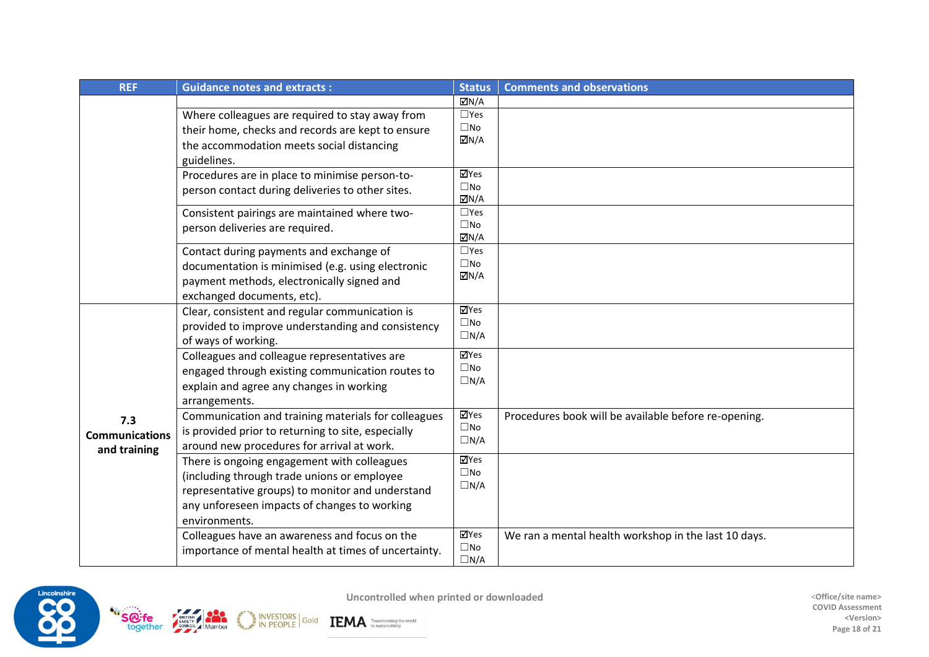| <b>REF</b>            | <b>Guidance notes and extracts:</b>                  |                                             | <b>Status</b><br><b>Comments and observations</b>    |  |
|-----------------------|------------------------------------------------------|---------------------------------------------|------------------------------------------------------|--|
|                       |                                                      | <b>☑N/A</b>                                 |                                                      |  |
|                       | Where colleagues are required to stay away from      | $\Box$ Yes                                  |                                                      |  |
|                       | their home, checks and records are kept to ensure    | $\square$ No                                |                                                      |  |
|                       | the accommodation meets social distancing            | $\Box N/A$                                  |                                                      |  |
|                       | guidelines.                                          |                                             |                                                      |  |
|                       | Procedures are in place to minimise person-to-       | ⊠Yes                                        |                                                      |  |
|                       | person contact during deliveries to other sites.     | $\square$ No                                |                                                      |  |
|                       |                                                      | $\boxtimes N/A$                             |                                                      |  |
|                       | Consistent pairings are maintained where two-        | $\square$ Yes                               |                                                      |  |
|                       | person deliveries are required.                      | $\square$ No<br>$\overline{\mathsf{M}}$ N/A |                                                      |  |
|                       | Contact during payments and exchange of              | $\square$ Yes                               |                                                      |  |
|                       | documentation is minimised (e.g. using electronic    | $\square$ No                                |                                                      |  |
|                       |                                                      | $\Box N/A$                                  |                                                      |  |
|                       | payment methods, electronically signed and           |                                             |                                                      |  |
|                       | exchanged documents, etc).                           | $\overline{\mathbf{Y}}$ Yes                 |                                                      |  |
|                       | Clear, consistent and regular communication is       | $\square$ No                                |                                                      |  |
|                       | provided to improve understanding and consistency    | $\Box N/A$                                  |                                                      |  |
|                       | of ways of working.                                  |                                             |                                                      |  |
|                       | Colleagues and colleague representatives are         | $\overline{\mathsf{M}}$ Yes                 |                                                      |  |
|                       | engaged through existing communication routes to     | $\square$ No                                |                                                      |  |
|                       | explain and agree any changes in working             | $\Box N/A$                                  |                                                      |  |
|                       | arrangements.                                        |                                             |                                                      |  |
| 7.3                   | Communication and training materials for colleagues  | ⊠Yes                                        | Procedures book will be available before re-opening. |  |
| <b>Communications</b> | is provided prior to returning to site, especially   | $\square$ No                                |                                                      |  |
| and training          | around new procedures for arrival at work.           | $\Box N/A$                                  |                                                      |  |
|                       | There is ongoing engagement with colleagues          | <b>⊠Yes</b>                                 |                                                      |  |
|                       | (including through trade unions or employee          | $\square$ No                                |                                                      |  |
|                       | representative groups) to monitor and understand     | $\Box N/A$                                  |                                                      |  |
|                       | any unforeseen impacts of changes to working         |                                             |                                                      |  |
|                       | environments.                                        |                                             |                                                      |  |
|                       | Colleagues have an awareness and focus on the        | ⊠Yes                                        | We ran a mental health workshop in the last 10 days. |  |
|                       | importance of mental health at times of uncertainty. | $\square$ No                                |                                                      |  |
|                       |                                                      | $\Box N/A$                                  |                                                      |  |





INVESTORS Gold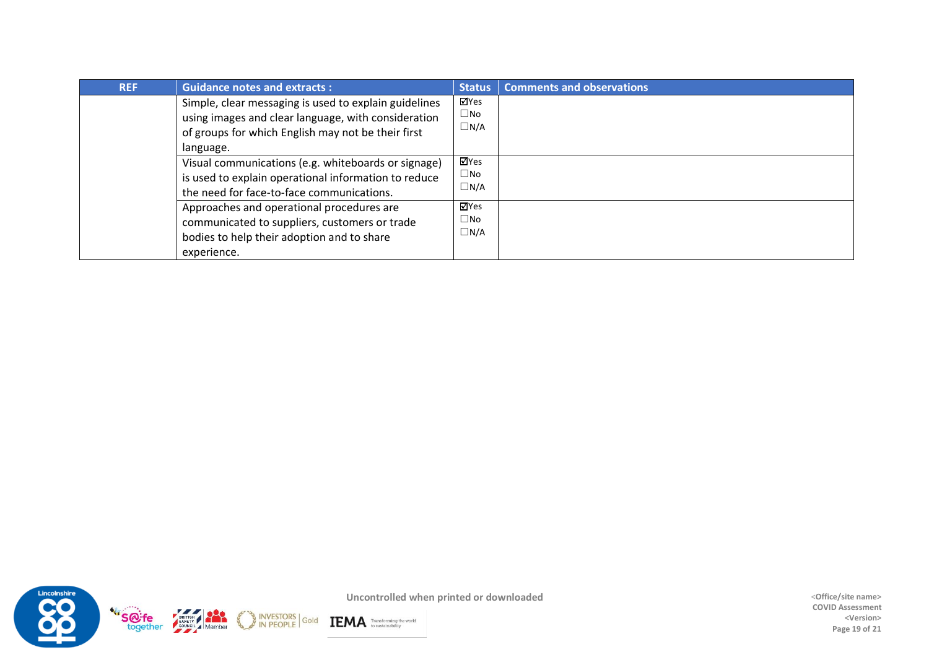| <b>REF</b> | <b>Guidance notes and extracts:</b>                                                                                                                                             | <b>Status</b>                      | <b>Comments and observations</b> |
|------------|---------------------------------------------------------------------------------------------------------------------------------------------------------------------------------|------------------------------------|----------------------------------|
|            | Simple, clear messaging is used to explain guidelines<br>using images and clear language, with consideration<br>of groups for which English may not be their first<br>language. | ⊠Yes<br>$\square$ No<br>$\Box$ N/A |                                  |
|            | Visual communications (e.g. whiteboards or signage)<br>is used to explain operational information to reduce<br>the need for face-to-face communications.                        | ⊻Yes<br>$\square$ No<br>$\Box$ N/A |                                  |
|            | Approaches and operational procedures are<br>communicated to suppliers, customers or trade<br>bodies to help their adoption and to share<br>experience.                         | ⊠Yes<br>$\square$ No<br>$\Box$ N/A |                                  |



**COVID Assessment <Version> Page 19 of 21**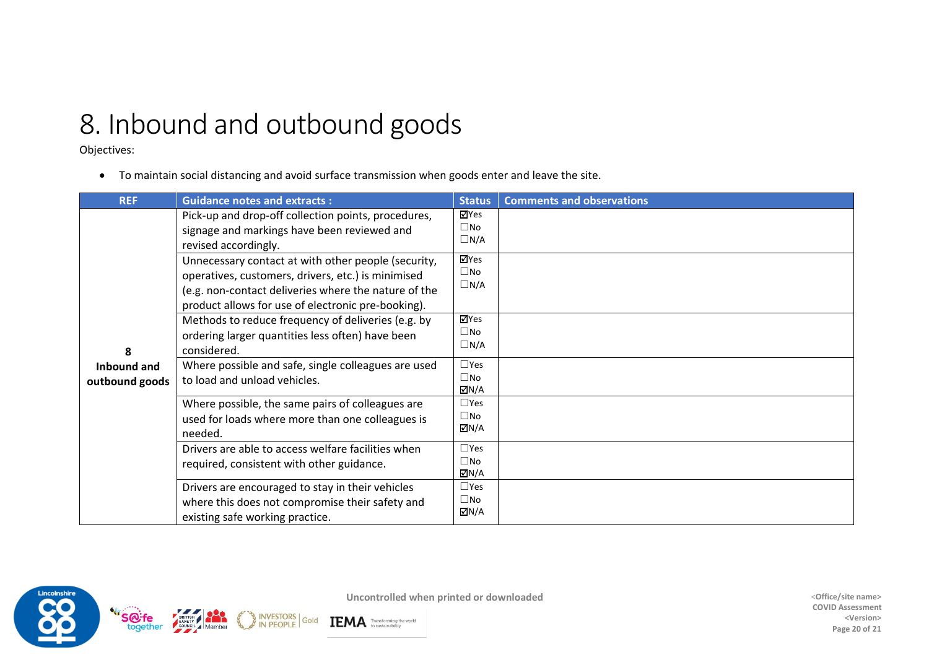## 8. Inbound and outbound goods

Objectives:

• To maintain social distancing and avoid surface transmission when goods enter and leave the site.

Gold

| <b>REF</b>                    | <b>Guidance notes and extracts:</b>                                                                                                                                                                                                                           | <b>Status</b>                             | <b>Comments and observations</b> |
|-------------------------------|---------------------------------------------------------------------------------------------------------------------------------------------------------------------------------------------------------------------------------------------------------------|-------------------------------------------|----------------------------------|
|                               | Pick-up and drop-off collection points, procedures,<br>signage and markings have been reviewed and<br>revised accordingly.                                                                                                                                    | ⊠Yes<br>$\square$ No<br>$\Box$ N/A        |                                  |
|                               | ⊠Yes<br>Unnecessary contact at with other people (security,<br>$\square$ No<br>operatives, customers, drivers, etc.) is minimised<br>$\Box$ N/A<br>(e.g. non-contact deliveries where the nature of the<br>product allows for use of electronic pre-booking). |                                           |                                  |
| 8                             | Methods to reduce frequency of deliveries (e.g. by<br>ordering larger quantities less often) have been<br>considered.                                                                                                                                         | <b>⊠Yes</b><br>$\square$ No<br>$\Box N/A$ |                                  |
| Inbound and<br>outbound goods | Where possible and safe, single colleagues are used<br>to load and unload vehicles.                                                                                                                                                                           | $\Box$ Yes<br>$\square$ No<br>MN/A        |                                  |
|                               | Where possible, the same pairs of colleagues are<br>used for loads where more than one colleagues is<br>needed.                                                                                                                                               | $\Box$ Yes<br>$\square$ No<br>MN/A⊡       |                                  |
|                               | Drivers are able to access welfare facilities when<br>required, consistent with other guidance.                                                                                                                                                               | $\Box$ Yes<br>$\square$ No<br>ØN/A        |                                  |
|                               | Drivers are encouraged to stay in their vehicles<br>where this does not compromise their safety and<br>existing safe working practice.                                                                                                                        | $\Box$ Yes<br>$\square$ No<br>ØN/A        |                                  |